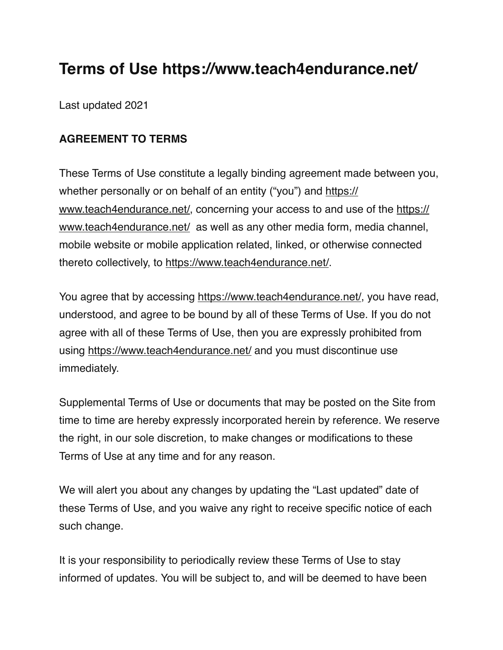# **Terms of Use https://www.teach4endurance.net/**

Last updated 2021

### **AGREEMENT TO TERMS**

These Terms of Use constitute a legally binding agreement made between you, whether personally or on behalf of an entity ("you") and [https://](https://www.teach4endurance.net/) [www.teach4endurance.net/](https://www.teach4endurance.net/), concerning your access to and use of the [https://](https://www.teach4endurance.net/) [www.teach4endurance.net/](https://www.teach4endurance.net/) as well as any other media form, media channel, mobile website or mobile application related, linked, or otherwise connected thereto collectively, to <https://www.teach4endurance.net/>.

You agree that by accessing [https://www.teach4endurance.net/,](https://www.teach4endurance.net/) you have read, understood, and agree to be bound by all of these Terms of Use. If you do not agree with all of these Terms of Use, then you are expressly prohibited from using<https://www.teach4endurance.net/> and you must discontinue use immediately.

Supplemental Terms of Use or documents that may be posted on the Site from time to time are hereby expressly incorporated herein by reference. We reserve the right, in our sole discretion, to make changes or modifications to these Terms of Use at any time and for any reason.

We will alert you about any changes by updating the "Last updated" date of these Terms of Use, and you waive any right to receive specific notice of each such change.

It is your responsibility to periodically review these Terms of Use to stay informed of updates. You will be subject to, and will be deemed to have been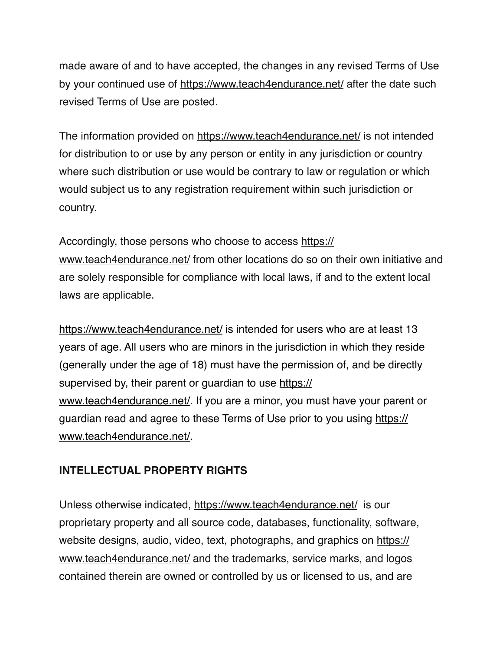made aware of and to have accepted, the changes in any revised Terms of Use by your continued use of <https://www.teach4endurance.net/> after the date such revised Terms of Use are posted.

The information provided on<https://www.teach4endurance.net/>is not intended for distribution to or use by any person or entity in any jurisdiction or country where such distribution or use would be contrary to law or regulation or which would subject us to any registration requirement within such jurisdiction or country.

Accordingly, those persons who choose to access [https://](https://www.teach4endurance.net/) [www.teach4endurance.net/](https://www.teach4endurance.net/) from other locations do so on their own initiative and are solely responsible for compliance with local laws, if and to the extent local laws are applicable.

<https://www.teach4endurance.net/>is intended for users who are at least 13 years of age. All users who are minors in the jurisdiction in which they reside (generally under the age of 18) must have the permission of, and be directly supervised by, their parent or guardian to use [https://](https://www.teach4endurance.net/) [www.teach4endurance.net/](https://www.teach4endurance.net/). If you are a minor, you must have your parent or guardian read and agree to these Terms of Use prior to you using [https://](https://www.teach4endurance.net/) [www.teach4endurance.net/](https://www.teach4endurance.net/).

### **INTELLECTUAL PROPERTY RIGHTS**

Unless otherwise indicated,<https://www.teach4endurance.net/> is our proprietary property and all source code, databases, functionality, software, website designs, audio, video, text, photographs, and graphics on [https://](https://www.teach4endurance.net/) [www.teach4endurance.net/](https://www.teach4endurance.net/) and the trademarks, service marks, and logos contained therein are owned or controlled by us or licensed to us, and are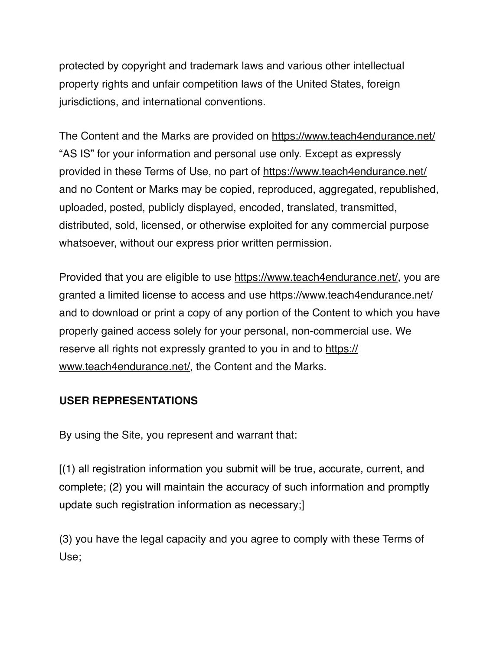protected by copyright and trademark laws and various other intellectual property rights and unfair competition laws of the United States, foreign jurisdictions, and international conventions.

The Content and the Marks are provided on<https://www.teach4endurance.net/> "AS IS" for your information and personal use only. Except as expressly provided in these Terms of Use, no part of<https://www.teach4endurance.net/> and no Content or Marks may be copied, reproduced, aggregated, republished, uploaded, posted, publicly displayed, encoded, translated, transmitted, distributed, sold, licensed, or otherwise exploited for any commercial purpose whatsoever, without our express prior written permission.

Provided that you are eligible to use <https://www.teach4endurance.net/>, you are granted a limited license to access and use<https://www.teach4endurance.net/> and to download or print a copy of any portion of the Content to which you have properly gained access solely for your personal, non-commercial use. We reserve all rights not expressly granted to you in and to [https://](https://www.teach4endurance.net/) [www.teach4endurance.net/](https://www.teach4endurance.net/), the Content and the Marks.

# **USER REPRESENTATIONS**

By using the Site, you represent and warrant that:

[(1) all registration information you submit will be true, accurate, current, and complete; (2) you will maintain the accuracy of such information and promptly update such registration information as necessary;]

(3) you have the legal capacity and you agree to comply with these Terms of Use;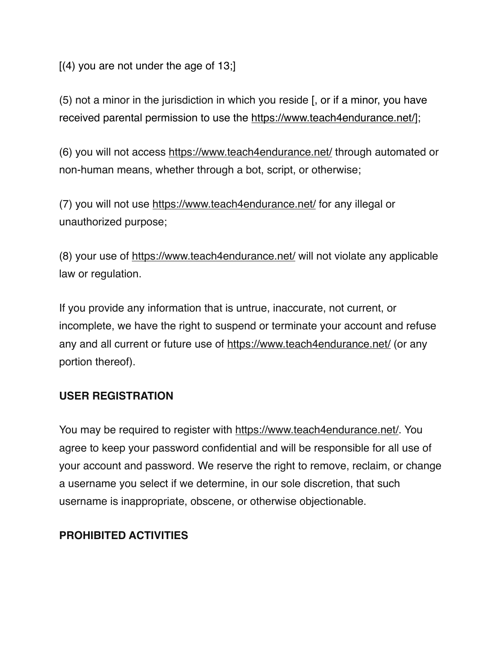$[(4)$  you are not under the age of 13;

(5) not a minor in the jurisdiction in which you reside [, or if a minor, you have received parental permission to use the [https://www.teach4endurance.net/\]](https://www.teach4endurance.net/);

(6) you will not access <https://www.teach4endurance.net/> through automated or non-human means, whether through a bot, script, or otherwise;

(7) you will not use <https://www.teach4endurance.net/>for any illegal or unauthorized purpose;

(8) your use of <https://www.teach4endurance.net/>will not violate any applicable law or regulation.

If you provide any information that is untrue, inaccurate, not current, or incomplete, we have the right to suspend or terminate your account and refuse any and all current or future use of <https://www.teach4endurance.net/>(or any portion thereof).

### **USER REGISTRATION**

You may be required to register with<https://www.teach4endurance.net/>. You agree to keep your password confidential and will be responsible for all use of your account and password. We reserve the right to remove, reclaim, or change a username you select if we determine, in our sole discretion, that such username is inappropriate, obscene, or otherwise objectionable.

### **PROHIBITED ACTIVITIES**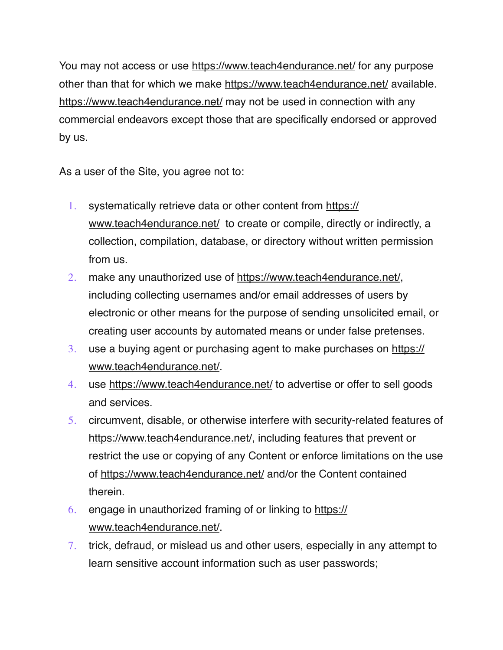You may not access or use <https://www.teach4endurance.net/>for any purpose other than that for which we make <https://www.teach4endurance.net/>available. <https://www.teach4endurance.net/>may not be used in connection with any commercial endeavors except those that are specifically endorsed or approved by us.

As a user of the Site, you agree not to:

- 1. systematically retrieve data or other content from [https://](https://www.teach4endurance.net/) [www.teach4endurance.net/](https://www.teach4endurance.net/) to create or compile, directly or indirectly, a collection, compilation, database, or directory without written permission from us.
- 2. make any unauthorized use of<https://www.teach4endurance.net/>, including collecting usernames and/or email addresses of users by electronic or other means for the purpose of sending unsolicited email, or creating user accounts by automated means or under false pretenses.
- 3. use a buying agent or purchasing agent to make purchases on [https://](https://www.teach4endurance.net/) [www.teach4endurance.net/](https://www.teach4endurance.net/).
- 4. use <https://www.teach4endurance.net/>to advertise or offer to sell goods and services.
- 5. circumvent, disable, or otherwise interfere with security-related features of [https://www.teach4endurance.net/,](https://www.teach4endurance.net/) including features that prevent or restrict the use or copying of any Content or enforce limitations on the use of <https://www.teach4endurance.net/>and/or the Content contained therein.
- 6. engage in unauthorized framing of or linking to [https://](https://www.teach4endurance.net/) [www.teach4endurance.net/](https://www.teach4endurance.net/).
- 7. trick, defraud, or mislead us and other users, especially in any attempt to learn sensitive account information such as user passwords;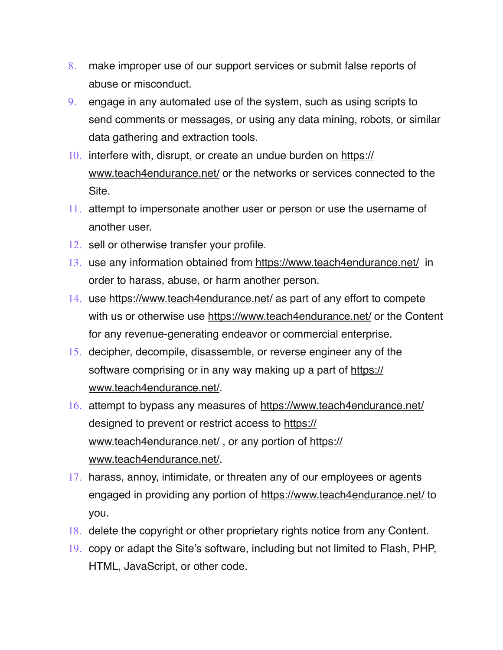- 8. make improper use of our support services or submit false reports of abuse or misconduct.
- 9. engage in any automated use of the system, such as using scripts to send comments or messages, or using any data mining, robots, or similar data gathering and extraction tools.
- 10. interfere with, disrupt, or create an undue burden on [https://](https://www.teach4endurance.net/) [www.teach4endurance.net/](https://www.teach4endurance.net/) or the networks or services connected to the Site.
- 11. attempt to impersonate another user or person or use the username of another user.
- 12. sell or otherwise transfer your profile.
- 13. use any information obtained from<https://www.teach4endurance.net/> in order to harass, abuse, or harm another person.
- 14. use <https://www.teach4endurance.net/>as part of any effort to compete with us or otherwise use<https://www.teach4endurance.net/> or the Content for any revenue-generating endeavor or commercial enterprise.
- 15. decipher, decompile, disassemble, or reverse engineer any of the software comprising or in any way making up a part of [https://](https://www.teach4endurance.net/) [www.teach4endurance.net/](https://www.teach4endurance.net/).
- 16. attempt to bypass any measures of<https://www.teach4endurance.net/> designed to prevent or restrict access to [https://](https://www.teach4endurance.net/) [www.teach4endurance.net/](https://www.teach4endurance.net/) , or any portion of [https://](https://www.teach4endurance.net/) [www.teach4endurance.net/](https://www.teach4endurance.net/).
- 17. harass, annoy, intimidate, or threaten any of our employees or agents engaged in providing any portion of <https://www.teach4endurance.net/>to you.
- 18. delete the copyright or other proprietary rights notice from any Content.
- 19. copy or adapt the Site's software, including but not limited to Flash, PHP, HTML, JavaScript, or other code.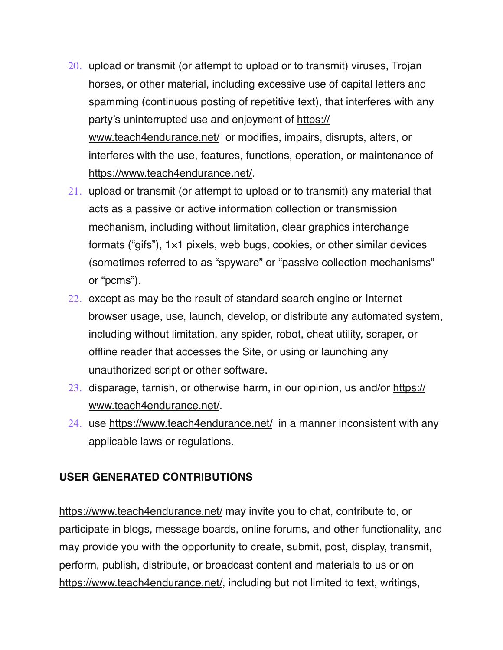- 20. upload or transmit (or attempt to upload or to transmit) viruses, Trojan horses, or other material, including excessive use of capital letters and spamming (continuous posting of repetitive text), that interferes with any party's uninterrupted use and enjoyment of [https://](https://www.teach4endurance.net/) [www.teach4endurance.net/](https://www.teach4endurance.net/) or modifies, impairs, disrupts, alters, or interferes with the use, features, functions, operation, or maintenance of [https://www.teach4endurance.net/.](https://www.teach4endurance.net/)
- 21. upload or transmit (or attempt to upload or to transmit) any material that acts as a passive or active information collection or transmission mechanism, including without limitation, clear graphics interchange formats ("gifs"), 1×1 pixels, web bugs, cookies, or other similar devices (sometimes referred to as "spyware" or "passive collection mechanisms" or "pcms").
- 22. except as may be the result of standard search engine or Internet browser usage, use, launch, develop, or distribute any automated system, including without limitation, any spider, robot, cheat utility, scraper, or offline reader that accesses the Site, or using or launching any unauthorized script or other software.
- 23. disparage, tarnish, or otherwise harm, in our opinion, us and/or [https://](https://www.teach4endurance.net/) [www.teach4endurance.net/](https://www.teach4endurance.net/).
- 24. use <https://www.teach4endurance.net/>in a manner inconsistent with any applicable laws or regulations.

### **USER GENERATED CONTRIBUTIONS**

<https://www.teach4endurance.net/>may invite you to chat, contribute to, or participate in blogs, message boards, online forums, and other functionality, and may provide you with the opportunity to create, submit, post, display, transmit, perform, publish, distribute, or broadcast content and materials to us or on [https://www.teach4endurance.net/,](https://www.teach4endurance.net/) including but not limited to text, writings,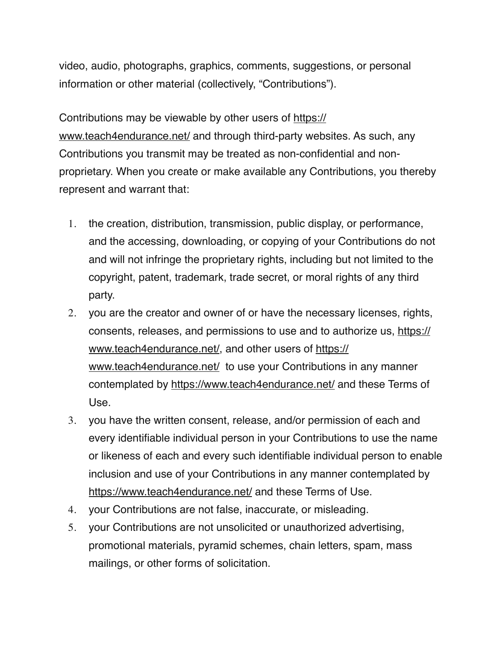video, audio, photographs, graphics, comments, suggestions, or personal information or other material (collectively, "Contributions").

Contributions may be viewable by other users of [https://](https://www.teach4endurance.net/) [www.teach4endurance.net/](https://www.teach4endurance.net/) and through third-party websites. As such, any Contributions you transmit may be treated as non-confidential and nonproprietary. When you create or make available any Contributions, you thereby represent and warrant that:

- 1. the creation, distribution, transmission, public display, or performance, and the accessing, downloading, or copying of your Contributions do not and will not infringe the proprietary rights, including but not limited to the copyright, patent, trademark, trade secret, or moral rights of any third party.
- 2. you are the creator and owner of or have the necessary licenses, rights, consents, releases, and permissions to use and to authorize us, [https://](https://www.teach4endurance.net/) [www.teach4endurance.net/](https://www.teach4endurance.net/), and other users of [https://](https://www.teach4endurance.net/) [www.teach4endurance.net/](https://www.teach4endurance.net/) to use your Contributions in any manner contemplated by <https://www.teach4endurance.net/> and these Terms of Use.
- 3. you have the written consent, release, and/or permission of each and every identifiable individual person in your Contributions to use the name or likeness of each and every such identifiable individual person to enable inclusion and use of your Contributions in any manner contemplated by <https://www.teach4endurance.net/>and these Terms of Use.
- 4. your Contributions are not false, inaccurate, or misleading.
- 5. your Contributions are not unsolicited or unauthorized advertising, promotional materials, pyramid schemes, chain letters, spam, mass mailings, or other forms of solicitation.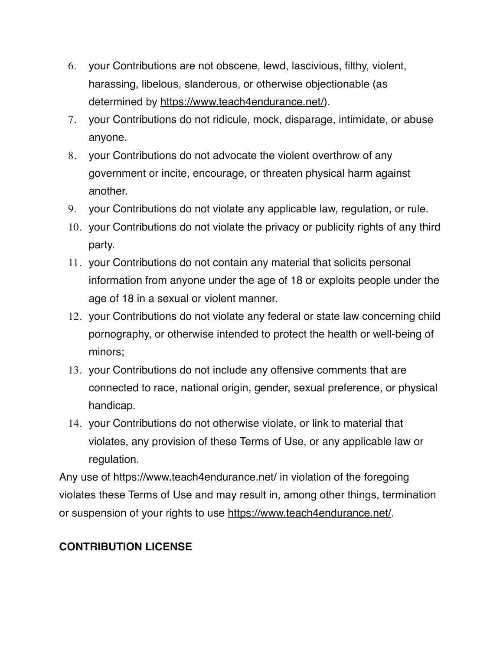- 6. your Contributions are not obscene, lewd, lascivious, filthy, violent, harassing, libelous, slanderous, or otherwise objectionable (as determined by<https://www.teach4endurance.net/>).
- 7. your Contributions do not ridicule, mock, disparage, intimidate, or abuse anyone.
- 8. your Contributions do not advocate the violent overthrow of any government or incite, encourage, or threaten physical harm against another.
- 9. your Contributions do not violate any applicable law, regulation, or rule.
- 10. your Contributions do not violate the privacy or publicity rights of any third party.
- 11. your Contributions do not contain any material that solicits personal information from anyone under the age of 18 or exploits people under the age of 18 in a sexual or violent manner.
- 12. your Contributions do not violate any federal or state law concerning child pornography, or otherwise intended to protect the health or well-being of minors;
- 13. your Contributions do not include any offensive comments that are connected to race, national origin, gender, sexual preference, or physical handicap.
- 14. your Contributions do not otherwise violate, or link to material that violates, any provision of these Terms of Use, or any applicable law or regulation.

Any use of<https://www.teach4endurance.net/>in violation of the foregoing violates these Terms of Use and may result in, among other things, termination or suspension of your rights to use<https://www.teach4endurance.net/>.

# **CONTRIBUTION LICENSE**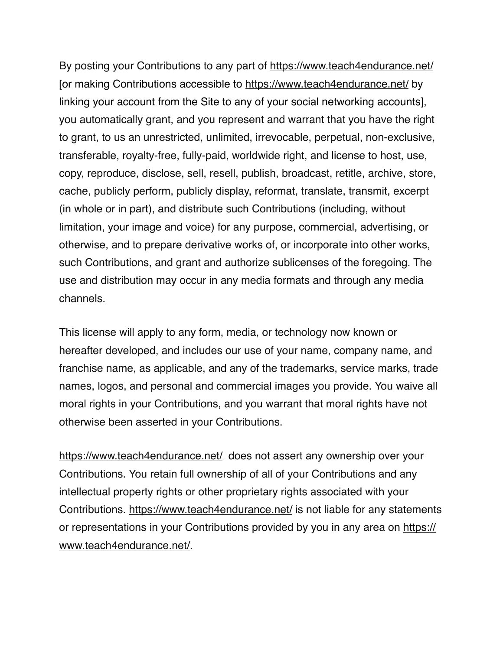By posting your Contributions to any part of <https://www.teach4endurance.net/> [or making Contributions accessible to <https://www.teach4endurance.net/>by linking your account from the Site to any of your social networking accounts], you automatically grant, and you represent and warrant that you have the right to grant, to us an unrestricted, unlimited, irrevocable, perpetual, non-exclusive, transferable, royalty-free, fully-paid, worldwide right, and license to host, use, copy, reproduce, disclose, sell, resell, publish, broadcast, retitle, archive, store, cache, publicly perform, publicly display, reformat, translate, transmit, excerpt (in whole or in part), and distribute such Contributions (including, without limitation, your image and voice) for any purpose, commercial, advertising, or otherwise, and to prepare derivative works of, or incorporate into other works, such Contributions, and grant and authorize sublicenses of the foregoing. The use and distribution may occur in any media formats and through any media channels.

This license will apply to any form, media, or technology now known or hereafter developed, and includes our use of your name, company name, and franchise name, as applicable, and any of the trademarks, service marks, trade names, logos, and personal and commercial images you provide. You waive all moral rights in your Contributions, and you warrant that moral rights have not otherwise been asserted in your Contributions.

<https://www.teach4endurance.net/>does not assert any ownership over your Contributions. You retain full ownership of all of your Contributions and any intellectual property rights or other proprietary rights associated with your Contributions.<https://www.teach4endurance.net/>is not liable for any statements or representations in your Contributions provided by you in any area on [https://](https://www.teach4endurance.net/) [www.teach4endurance.net/](https://www.teach4endurance.net/).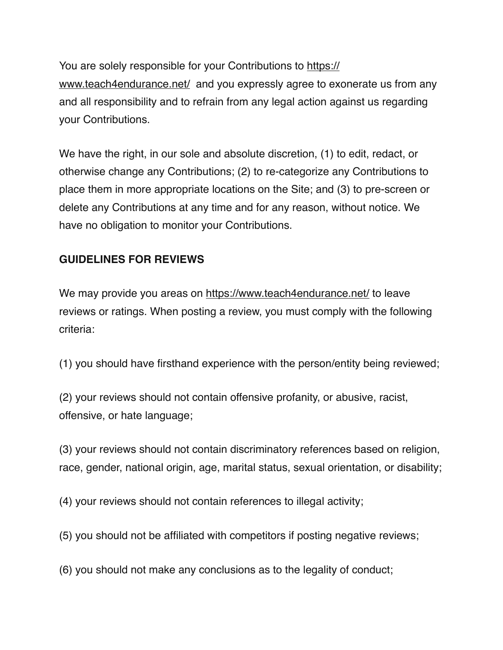You are solely responsible for your Contributions to [https://](https://www.teach4endurance.net/) [www.teach4endurance.net/](https://www.teach4endurance.net/) and you expressly agree to exonerate us from any and all responsibility and to refrain from any legal action against us regarding your Contributions.

We have the right, in our sole and absolute discretion, (1) to edit, redact, or otherwise change any Contributions; (2) to re-categorize any Contributions to place them in more appropriate locations on the Site; and (3) to pre-screen or delete any Contributions at any time and for any reason, without notice. We have no obligation to monitor your Contributions.

# **GUIDELINES FOR REVIEWS**

We may provide you areas on <https://www.teach4endurance.net/>to leave reviews or ratings. When posting a review, you must comply with the following criteria:

(1) you should have firsthand experience with the person/entity being reviewed;

(2) your reviews should not contain offensive profanity, or abusive, racist, offensive, or hate language;

(3) your reviews should not contain discriminatory references based on religion, race, gender, national origin, age, marital status, sexual orientation, or disability;

(4) your reviews should not contain references to illegal activity;

(5) you should not be affiliated with competitors if posting negative reviews;

(6) you should not make any conclusions as to the legality of conduct;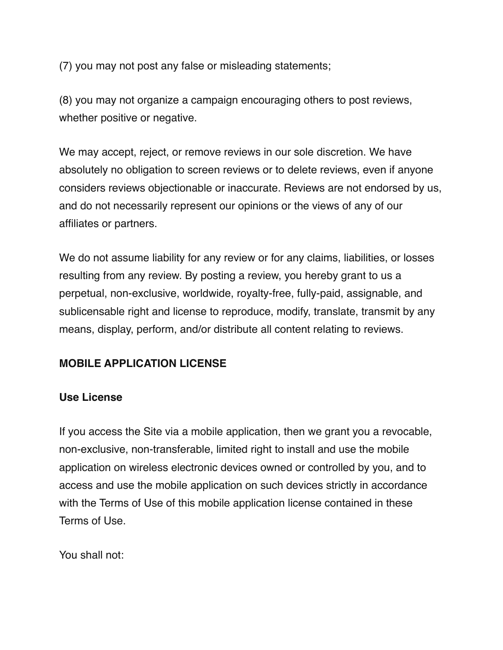(7) you may not post any false or misleading statements;

(8) you may not organize a campaign encouraging others to post reviews, whether positive or negative.

We may accept, reject, or remove reviews in our sole discretion. We have absolutely no obligation to screen reviews or to delete reviews, even if anyone considers reviews objectionable or inaccurate. Reviews are not endorsed by us, and do not necessarily represent our opinions or the views of any of our affiliates or partners.

We do not assume liability for any review or for any claims, liabilities, or losses resulting from any review. By posting a review, you hereby grant to us a perpetual, non-exclusive, worldwide, royalty-free, fully-paid, assignable, and sublicensable right and license to reproduce, modify, translate, transmit by any means, display, perform, and/or distribute all content relating to reviews.

### **MOBILE APPLICATION LICENSE**

#### **Use License**

If you access the Site via a mobile application, then we grant you a revocable, non-exclusive, non-transferable, limited right to install and use the mobile application on wireless electronic devices owned or controlled by you, and to access and use the mobile application on such devices strictly in accordance with the Terms of Use of this mobile application license contained in these Terms of Use.

You shall not: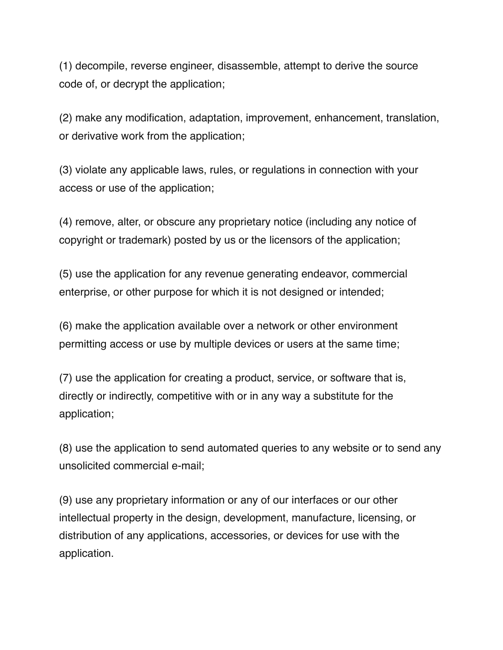(1) decompile, reverse engineer, disassemble, attempt to derive the source code of, or decrypt the application;

(2) make any modification, adaptation, improvement, enhancement, translation, or derivative work from the application;

(3) violate any applicable laws, rules, or regulations in connection with your access or use of the application;

(4) remove, alter, or obscure any proprietary notice (including any notice of copyright or trademark) posted by us or the licensors of the application;

(5) use the application for any revenue generating endeavor, commercial enterprise, or other purpose for which it is not designed or intended;

(6) make the application available over a network or other environment permitting access or use by multiple devices or users at the same time;

(7) use the application for creating a product, service, or software that is, directly or indirectly, competitive with or in any way a substitute for the application;

(8) use the application to send automated queries to any website or to send any unsolicited commercial e-mail;

(9) use any proprietary information or any of our interfaces or our other intellectual property in the design, development, manufacture, licensing, or distribution of any applications, accessories, or devices for use with the application.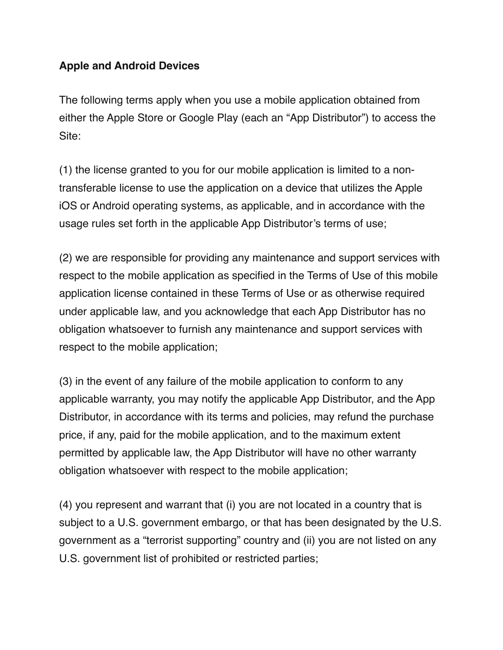### **Apple and Android Devices**

The following terms apply when you use a mobile application obtained from either the Apple Store or Google Play (each an "App Distributor") to access the Site:

(1) the license granted to you for our mobile application is limited to a nontransferable license to use the application on a device that utilizes the Apple iOS or Android operating systems, as applicable, and in accordance with the usage rules set forth in the applicable App Distributor's terms of use;

(2) we are responsible for providing any maintenance and support services with respect to the mobile application as specified in the Terms of Use of this mobile application license contained in these Terms of Use or as otherwise required under applicable law, and you acknowledge that each App Distributor has no obligation whatsoever to furnish any maintenance and support services with respect to the mobile application;

(3) in the event of any failure of the mobile application to conform to any applicable warranty, you may notify the applicable App Distributor, and the App Distributor, in accordance with its terms and policies, may refund the purchase price, if any, paid for the mobile application, and to the maximum extent permitted by applicable law, the App Distributor will have no other warranty obligation whatsoever with respect to the mobile application;

(4) you represent and warrant that (i) you are not located in a country that is subject to a U.S. government embargo, or that has been designated by the U.S. government as a "terrorist supporting" country and (ii) you are not listed on any U.S. government list of prohibited or restricted parties;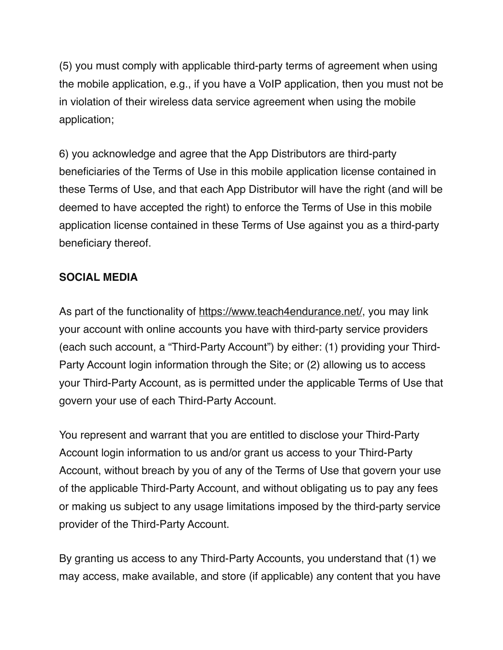(5) you must comply with applicable third-party terms of agreement when using the mobile application, e.g., if you have a VoIP application, then you must not be in violation of their wireless data service agreement when using the mobile application;

6) you acknowledge and agree that the App Distributors are third-party beneficiaries of the Terms of Use in this mobile application license contained in these Terms of Use, and that each App Distributor will have the right (and will be deemed to have accepted the right) to enforce the Terms of Use in this mobile application license contained in these Terms of Use against you as a third-party beneficiary thereof.

## **SOCIAL MEDIA**

As part of the functionality of<https://www.teach4endurance.net/>, you may link your account with online accounts you have with third-party service providers (each such account, a "Third-Party Account") by either: (1) providing your Third-Party Account login information through the Site; or (2) allowing us to access your Third-Party Account, as is permitted under the applicable Terms of Use that govern your use of each Third-Party Account.

You represent and warrant that you are entitled to disclose your Third-Party Account login information to us and/or grant us access to your Third-Party Account, without breach by you of any of the Terms of Use that govern your use of the applicable Third-Party Account, and without obligating us to pay any fees or making us subject to any usage limitations imposed by the third-party service provider of the Third-Party Account.

By granting us access to any Third-Party Accounts, you understand that (1) we may access, make available, and store (if applicable) any content that you have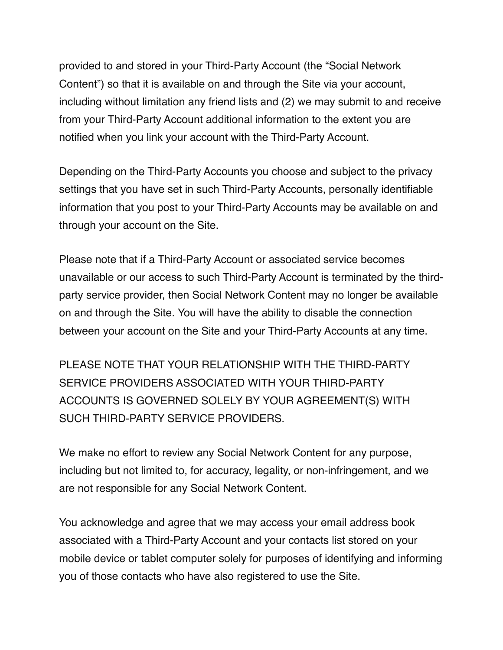provided to and stored in your Third-Party Account (the "Social Network Content") so that it is available on and through the Site via your account, including without limitation any friend lists and (2) we may submit to and receive from your Third-Party Account additional information to the extent you are notified when you link your account with the Third-Party Account.

Depending on the Third-Party Accounts you choose and subject to the privacy settings that you have set in such Third-Party Accounts, personally identifiable information that you post to your Third-Party Accounts may be available on and through your account on the Site.

Please note that if a Third-Party Account or associated service becomes unavailable or our access to such Third-Party Account is terminated by the thirdparty service provider, then Social Network Content may no longer be available on and through the Site. You will have the ability to disable the connection between your account on the Site and your Third-Party Accounts at any time.

PLEASE NOTE THAT YOUR RELATIONSHIP WITH THE THIRD-PARTY SERVICE PROVIDERS ASSOCIATED WITH YOUR THIRD-PARTY ACCOUNTS IS GOVERNED SOLELY BY YOUR AGREEMENT(S) WITH SUCH THIRD-PARTY SERVICE PROVIDERS.

We make no effort to review any Social Network Content for any purpose, including but not limited to, for accuracy, legality, or non-infringement, and we are not responsible for any Social Network Content.

You acknowledge and agree that we may access your email address book associated with a Third-Party Account and your contacts list stored on your mobile device or tablet computer solely for purposes of identifying and informing you of those contacts who have also registered to use the Site.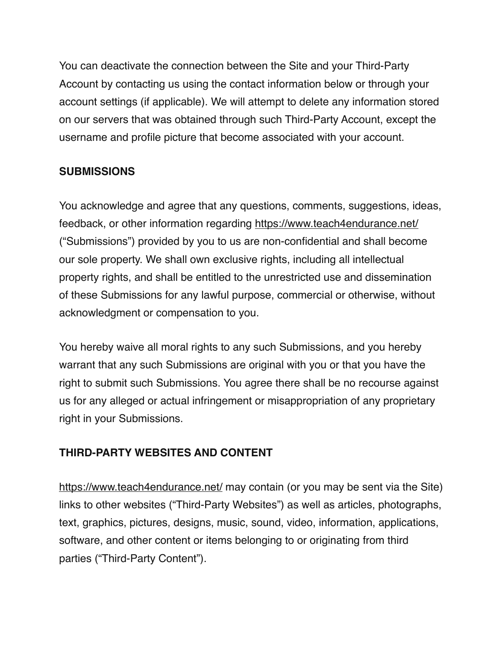You can deactivate the connection between the Site and your Third-Party Account by contacting us using the contact information below or through your account settings (if applicable). We will attempt to delete any information stored on our servers that was obtained through such Third-Party Account, except the username and profile picture that become associated with your account.

## **SUBMISSIONS**

You acknowledge and agree that any questions, comments, suggestions, ideas, feedback, or other information regarding<https://www.teach4endurance.net/> ("Submissions") provided by you to us are non-confidential and shall become our sole property. We shall own exclusive rights, including all intellectual property rights, and shall be entitled to the unrestricted use and dissemination of these Submissions for any lawful purpose, commercial or otherwise, without acknowledgment or compensation to you.

You hereby waive all moral rights to any such Submissions, and you hereby warrant that any such Submissions are original with you or that you have the right to submit such Submissions. You agree there shall be no recourse against us for any alleged or actual infringement or misappropriation of any proprietary right in your Submissions.

# **THIRD-PARTY WEBSITES AND CONTENT**

<https://www.teach4endurance.net/>may contain (or you may be sent via the Site) links to other websites ("Third-Party Websites") as well as articles, photographs, text, graphics, pictures, designs, music, sound, video, information, applications, software, and other content or items belonging to or originating from third parties ("Third-Party Content").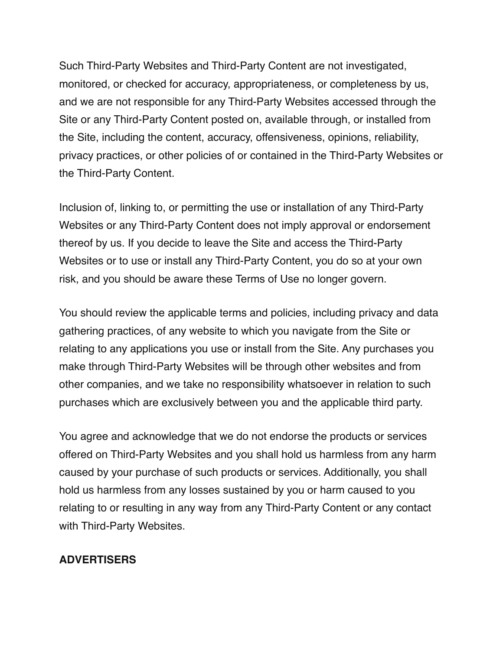Such Third-Party Websites and Third-Party Content are not investigated, monitored, or checked for accuracy, appropriateness, or completeness by us, and we are not responsible for any Third-Party Websites accessed through the Site or any Third-Party Content posted on, available through, or installed from the Site, including the content, accuracy, offensiveness, opinions, reliability, privacy practices, or other policies of or contained in the Third-Party Websites or the Third-Party Content.

Inclusion of, linking to, or permitting the use or installation of any Third-Party Websites or any Third-Party Content does not imply approval or endorsement thereof by us. If you decide to leave the Site and access the Third-Party Websites or to use or install any Third-Party Content, you do so at your own risk, and you should be aware these Terms of Use no longer govern.

You should review the applicable terms and policies, including privacy and data gathering practices, of any website to which you navigate from the Site or relating to any applications you use or install from the Site. Any purchases you make through Third-Party Websites will be through other websites and from other companies, and we take no responsibility whatsoever in relation to such purchases which are exclusively between you and the applicable third party.

You agree and acknowledge that we do not endorse the products or services offered on Third-Party Websites and you shall hold us harmless from any harm caused by your purchase of such products or services. Additionally, you shall hold us harmless from any losses sustained by you or harm caused to you relating to or resulting in any way from any Third-Party Content or any contact with Third-Party Websites.

#### **ADVERTISERS**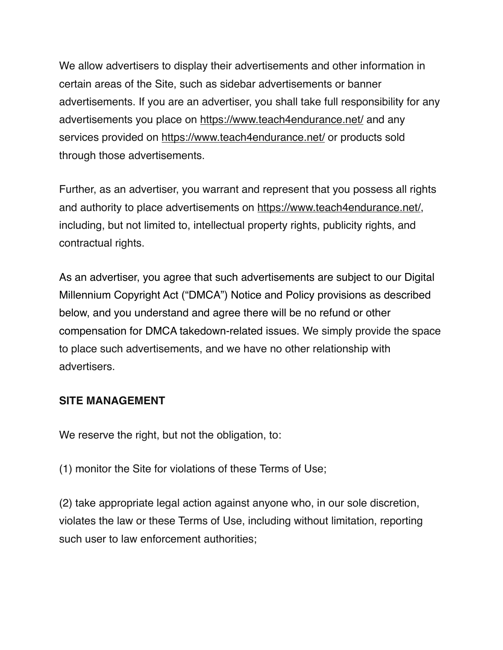We allow advertisers to display their advertisements and other information in certain areas of the Site, such as sidebar advertisements or banner advertisements. If you are an advertiser, you shall take full responsibility for any advertisements you place on <https://www.teach4endurance.net/>and any services provided on <https://www.teach4endurance.net/>or products sold through those advertisements.

Further, as an advertiser, you warrant and represent that you possess all rights and authority to place advertisements on<https://www.teach4endurance.net/>, including, but not limited to, intellectual property rights, publicity rights, and contractual rights.

As an advertiser, you agree that such advertisements are subject to our Digital Millennium Copyright Act ("DMCA") Notice and Policy provisions as described below, and you understand and agree there will be no refund or other compensation for DMCA takedown-related issues. We simply provide the space to place such advertisements, and we have no other relationship with advertisers.

#### **SITE MANAGEMENT**

We reserve the right, but not the obligation, to:

(1) monitor the Site for violations of these Terms of Use;

(2) take appropriate legal action against anyone who, in our sole discretion, violates the law or these Terms of Use, including without limitation, reporting such user to law enforcement authorities;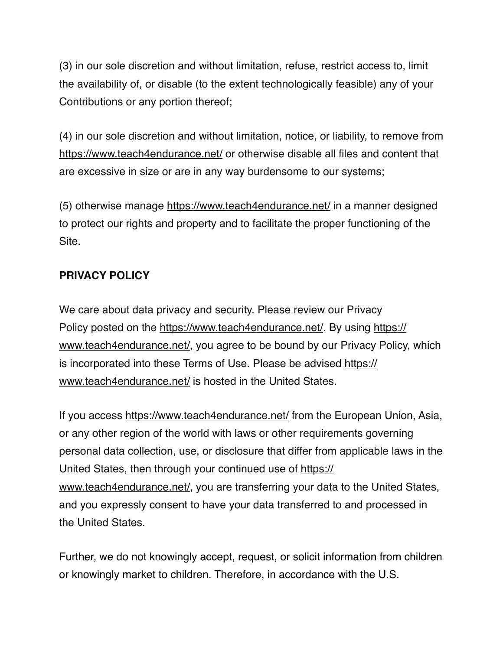(3) in our sole discretion and without limitation, refuse, restrict access to, limit the availability of, or disable (to the extent technologically feasible) any of your Contributions or any portion thereof;

(4) in our sole discretion and without limitation, notice, or liability, to remove from <https://www.teach4endurance.net/>or otherwise disable all files and content that are excessive in size or are in any way burdensome to our systems;

(5) otherwise manage<https://www.teach4endurance.net/> in a manner designed to protect our rights and property and to facilitate the proper functioning of the Site.

## **PRIVACY POLICY**

We care about data privacy and security. Please review our Privacy Policy posted on the <https://www.teach4endurance.net/>. By using [https://](https://www.teach4endurance.net/) [www.teach4endurance.net/](https://www.teach4endurance.net/), you agree to be bound by our Privacy Policy, which is incorporated into these Terms of Use. Please be advised [https://](https://www.teach4endurance.net/) [www.teach4endurance.net/](https://www.teach4endurance.net/) is hosted in the United States.

If you access <https://www.teach4endurance.net/>from the European Union, Asia, or any other region of the world with laws or other requirements governing personal data collection, use, or disclosure that differ from applicable laws in the United States, then through your continued use of [https://](https://www.teach4endurance.net/) [www.teach4endurance.net/](https://www.teach4endurance.net/), you are transferring your data to the United States, and you expressly consent to have your data transferred to and processed in the United States.

Further, we do not knowingly accept, request, or solicit information from children or knowingly market to children. Therefore, in accordance with the U.S.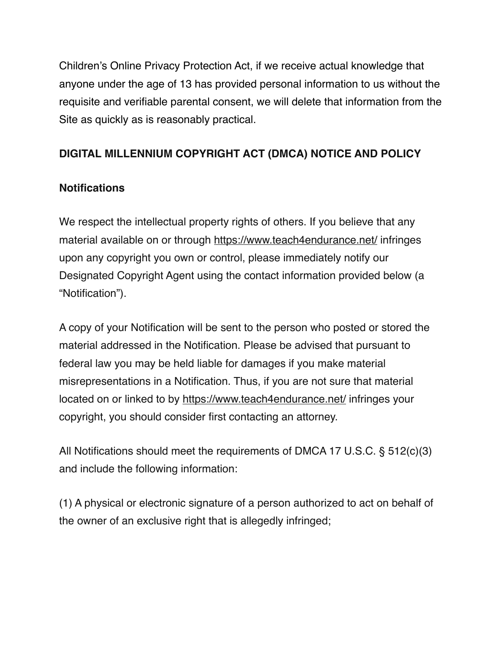Children's Online Privacy Protection Act, if we receive actual knowledge that anyone under the age of 13 has provided personal information to us without the requisite and verifiable parental consent, we will delete that information from the Site as quickly as is reasonably practical.

# **DIGITAL MILLENNIUM COPYRIGHT ACT (DMCA) NOTICE AND POLICY**

### **Notifications**

We respect the intellectual property rights of others. If you believe that any material available on or through <https://www.teach4endurance.net/> infringes upon any copyright you own or control, please immediately notify our Designated Copyright Agent using the contact information provided below (a "Notification").

A copy of your Notification will be sent to the person who posted or stored the material addressed in the Notification. Please be advised that pursuant to federal law you may be held liable for damages if you make material misrepresentations in a Notification. Thus, if you are not sure that material located on or linked to by<https://www.teach4endurance.net/> infringes your copyright, you should consider first contacting an attorney.

All Notifications should meet the requirements of DMCA 17 U.S.C. § 512(c)(3) and include the following information:

(1) A physical or electronic signature of a person authorized to act on behalf of the owner of an exclusive right that is allegedly infringed;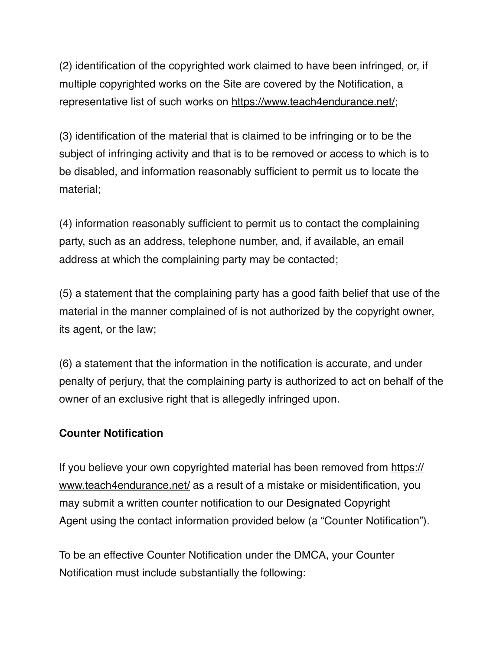(2) identification of the copyrighted work claimed to have been infringed, or, if multiple copyrighted works on the Site are covered by the Notification, a representative list of such works on [https://www.teach4endurance.net/;](https://www.teach4endurance.net/) 

(3) identification of the material that is claimed to be infringing or to be the subject of infringing activity and that is to be removed or access to which is to be disabled, and information reasonably sufficient to permit us to locate the material;

(4) information reasonably sufficient to permit us to contact the complaining party, such as an address, telephone number, and, if available, an email address at which the complaining party may be contacted;

(5) a statement that the complaining party has a good faith belief that use of the material in the manner complained of is not authorized by the copyright owner, its agent, or the law;

(6) a statement that the information in the notification is accurate, and under penalty of perjury, that the complaining party is authorized to act on behalf of the owner of an exclusive right that is allegedly infringed upon.

### **Counter Notification**

If you believe your own copyrighted material has been removed from [https://](https://www.teach4endurance.net/) [www.teach4endurance.net/](https://www.teach4endurance.net/) as a result of a mistake or misidentification, you may submit a written counter notification to our Designated Copyright Agent using the contact information provided below (a "Counter Notification").

To be an effective Counter Notification under the DMCA, your Counter Notification must include substantially the following: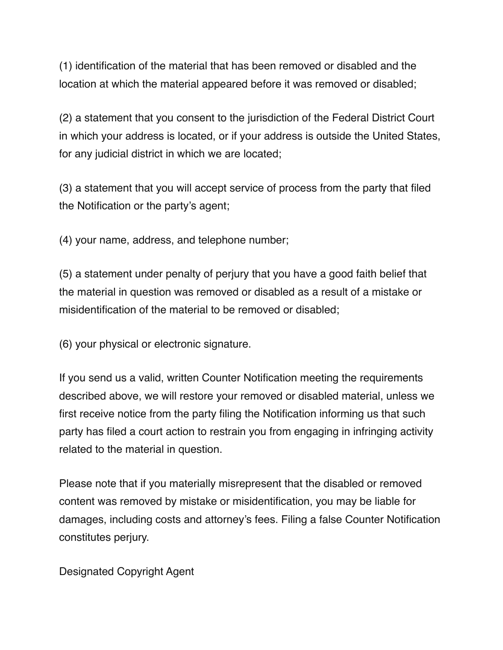(1) identification of the material that has been removed or disabled and the location at which the material appeared before it was removed or disabled;

(2) a statement that you consent to the jurisdiction of the Federal District Court in which your address is located, or if your address is outside the United States, for any judicial district in which we are located;

(3) a statement that you will accept service of process from the party that filed the Notification or the party's agent;

(4) your name, address, and telephone number;

(5) a statement under penalty of perjury that you have a good faith belief that the material in question was removed or disabled as a result of a mistake or misidentification of the material to be removed or disabled;

(6) your physical or electronic signature.

If you send us a valid, written Counter Notification meeting the requirements described above, we will restore your removed or disabled material, unless we first receive notice from the party filing the Notification informing us that such party has filed a court action to restrain you from engaging in infringing activity related to the material in question.

Please note that if you materially misrepresent that the disabled or removed content was removed by mistake or misidentification, you may be liable for damages, including costs and attorney's fees. Filing a false Counter Notification constitutes perjury.

Designated Copyright Agent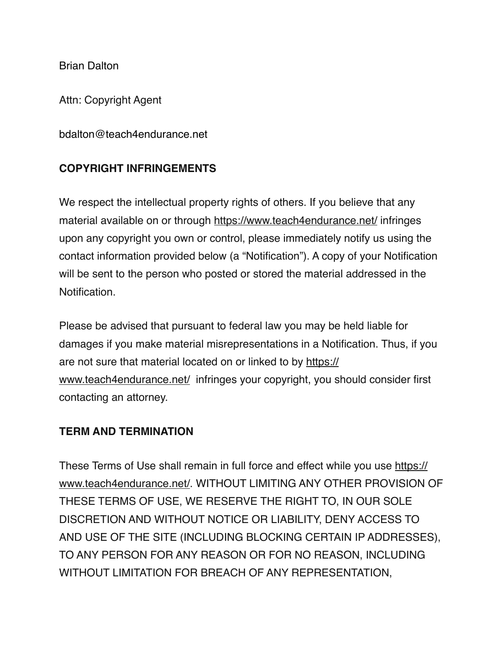Brian Dalton

Attn: Copyright Agent

bdalton@teach4endurance.net

### **COPYRIGHT INFRINGEMENTS**

We respect the intellectual property rights of others. If you believe that any material available on or through <https://www.teach4endurance.net/> infringes upon any copyright you own or control, please immediately notify us using the contact information provided below (a "Notification"). A copy of your Notification will be sent to the person who posted or stored the material addressed in the Notification.

Please be advised that pursuant to federal law you may be held liable for damages if you make material misrepresentations in a Notification. Thus, if you are not sure that material located on or linked to by [https://](https://www.teach4endurance.net/) [www.teach4endurance.net/](https://www.teach4endurance.net/) infringes your copyright, you should consider first contacting an attorney.

#### **TERM AND TERMINATION**

These Terms of Use shall remain in full force and effect while you use [https://](https://www.teach4endurance.net/) [www.teach4endurance.net/](https://www.teach4endurance.net/). WITHOUT LIMITING ANY OTHER PROVISION OF THESE TERMS OF USE, WE RESERVE THE RIGHT TO, IN OUR SOLE DISCRETION AND WITHOUT NOTICE OR LIABILITY, DENY ACCESS TO AND USE OF THE SITE (INCLUDING BLOCKING CERTAIN IP ADDRESSES), TO ANY PERSON FOR ANY REASON OR FOR NO REASON, INCLUDING WITHOUT LIMITATION FOR BREACH OF ANY REPRESENTATION,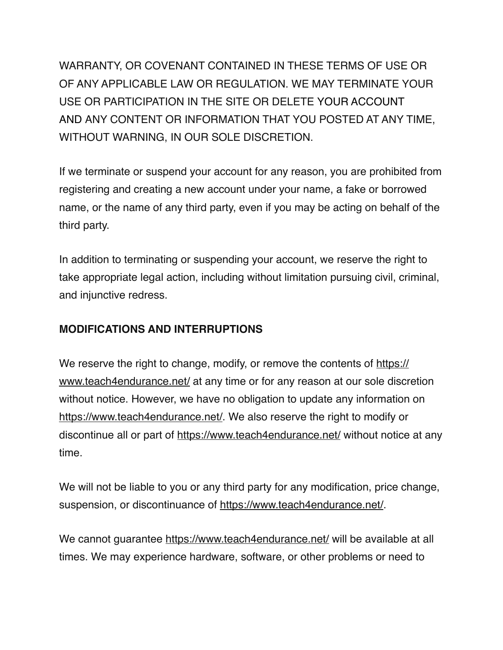WARRANTY, OR COVENANT CONTAINED IN THESE TERMS OF USE OR OF ANY APPLICABLE LAW OR REGULATION. WE MAY TERMINATE YOUR USE OR PARTICIPATION IN THE SITE OR DELETE YOUR ACCOUNT AND ANY CONTENT OR INFORMATION THAT YOU POSTED AT ANY TIME, WITHOUT WARNING, IN OUR SOLE DISCRETION.

If we terminate or suspend your account for any reason, you are prohibited from registering and creating a new account under your name, a fake or borrowed name, or the name of any third party, even if you may be acting on behalf of the third party.

In addition to terminating or suspending your account, we reserve the right to take appropriate legal action, including without limitation pursuing civil, criminal, and injunctive redress.

# **MODIFICATIONS AND INTERRUPTIONS**

We reserve the right to change, modify, or remove the contents of [https://](https://www.teach4endurance.net/) [www.teach4endurance.net/](https://www.teach4endurance.net/) at any time or for any reason at our sole discretion without notice. However, we have no obligation to update any information on [https://www.teach4endurance.net/.](https://www.teach4endurance.net/) We also reserve the right to modify or discontinue all or part of <https://www.teach4endurance.net/>without notice at any time.

We will not be liable to you or any third party for any modification, price change, suspension, or discontinuance of [https://www.teach4endurance.net/.](https://www.teach4endurance.net/) 

We cannot guarantee <https://www.teach4endurance.net/>will be available at all times. We may experience hardware, software, or other problems or need to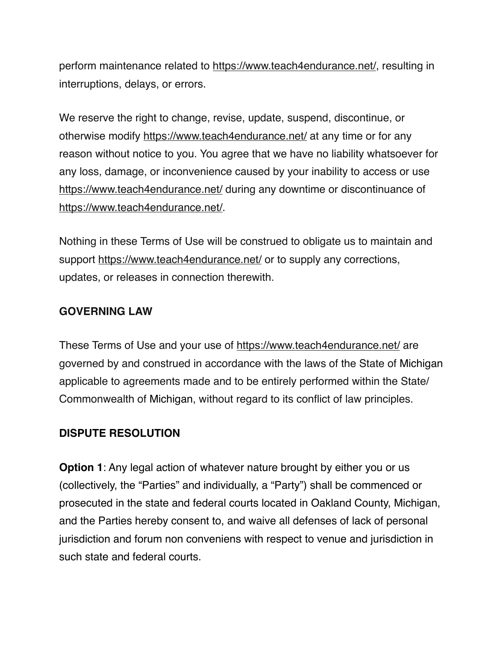perform maintenance related to [https://www.teach4endurance.net/,](https://www.teach4endurance.net/) resulting in interruptions, delays, or errors.

We reserve the right to change, revise, update, suspend, discontinue, or otherwise modify <https://www.teach4endurance.net/>at any time or for any reason without notice to you. You agree that we have no liability whatsoever for any loss, damage, or inconvenience caused by your inability to access or use <https://www.teach4endurance.net/>during any downtime or discontinuance of [https://www.teach4endurance.net/.](https://www.teach4endurance.net/) 

Nothing in these Terms of Use will be construed to obligate us to maintain and support <https://www.teach4endurance.net/>or to supply any corrections, updates, or releases in connection therewith.

### **GOVERNING LAW**

These Terms of Use and your use of<https://www.teach4endurance.net/> are governed by and construed in accordance with the laws of the State of Michigan applicable to agreements made and to be entirely performed within the State/ Commonwealth of Michigan, without regard to its conflict of law principles.

#### **DISPUTE RESOLUTION**

**Option 1:** Any legal action of whatever nature brought by either you or us (collectively, the "Parties" and individually, a "Party") shall be commenced or prosecuted in the state and federal courts located in Oakland County, Michigan, and the Parties hereby consent to, and waive all defenses of lack of personal jurisdiction and forum non conveniens with respect to venue and jurisdiction in such state and federal courts.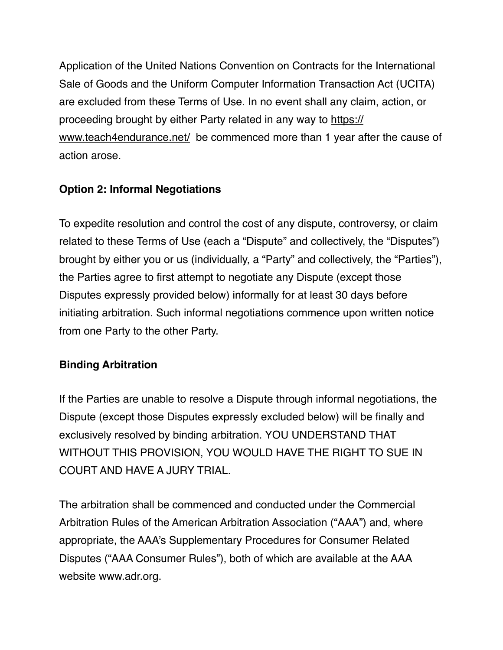Application of the United Nations Convention on Contracts for the International Sale of Goods and the Uniform Computer Information Transaction Act (UCITA) are excluded from these Terms of Use. In no event shall any claim, action, or proceeding brought by either Party related in any way to [https://](https://www.teach4endurance.net/) [www.teach4endurance.net/](https://www.teach4endurance.net/) be commenced more than 1 year after the cause of action arose.

# **Option 2: Informal Negotiations**

To expedite resolution and control the cost of any dispute, controversy, or claim related to these Terms of Use (each a "Dispute" and collectively, the "Disputes") brought by either you or us (individually, a "Party" and collectively, the "Parties"), the Parties agree to first attempt to negotiate any Dispute (except those Disputes expressly provided below) informally for at least 30 days before initiating arbitration. Such informal negotiations commence upon written notice from one Party to the other Party.

# **Binding Arbitration**

If the Parties are unable to resolve a Dispute through informal negotiations, the Dispute (except those Disputes expressly excluded below) will be finally and exclusively resolved by binding arbitration. YOU UNDERSTAND THAT WITHOUT THIS PROVISION, YOU WOULD HAVE THE RIGHT TO SUE IN COURT AND HAVE A JURY TRIAL.

The arbitration shall be commenced and conducted under the Commercial Arbitration Rules of the American Arbitration Association ("AAA") and, where appropriate, the AAA's Supplementary Procedures for Consumer Related Disputes ("AAA Consumer Rules"), both of which are available at the AAA website [www.adr.org](https://www.adr.org/).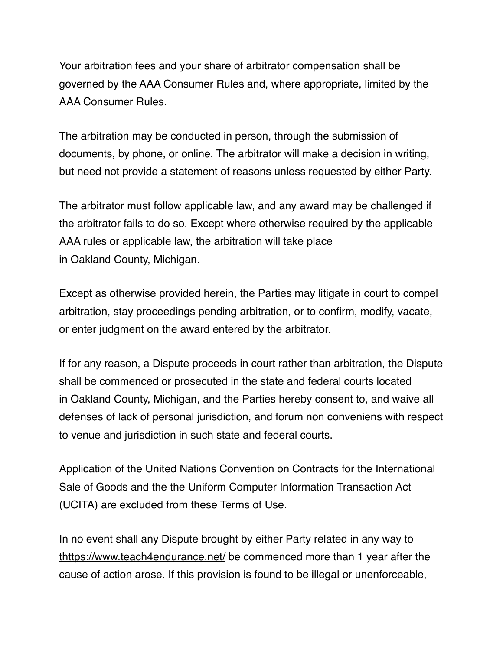Your arbitration fees and your share of arbitrator compensation shall be governed by the AAA Consumer Rules and, where appropriate, limited by the AAA Consumer Rules.

The arbitration may be conducted in person, through the submission of documents, by phone, or online. The arbitrator will make a decision in writing, but need not provide a statement of reasons unless requested by either Party.

The arbitrator must follow applicable law, and any award may be challenged if the arbitrator fails to do so. Except where otherwise required by the applicable AAA rules or applicable law, the arbitration will take place in Oakland County, Michigan.

Except as otherwise provided herein, the Parties may litigate in court to compel arbitration, stay proceedings pending arbitration, or to confirm, modify, vacate, or enter judgment on the award entered by the arbitrator.

If for any reason, a Dispute proceeds in court rather than arbitration, the Dispute shall be commenced or prosecuted in the state and federal courts located in Oakland County, Michigan, and the Parties hereby consent to, and waive all defenses of lack of personal jurisdiction, and forum non conveniens with respect to venue and jurisdiction in such state and federal courts.

Application of the United Nations Convention on Contracts for the International Sale of Goods and the the Uniform Computer Information Transaction Act (UCITA) are excluded from these Terms of Use.

In no event shall any Dispute brought by either Party related in any way to <thttps://www.teach4endurance.net/>be commenced more than 1 year after the cause of action arose. If this provision is found to be illegal or unenforceable,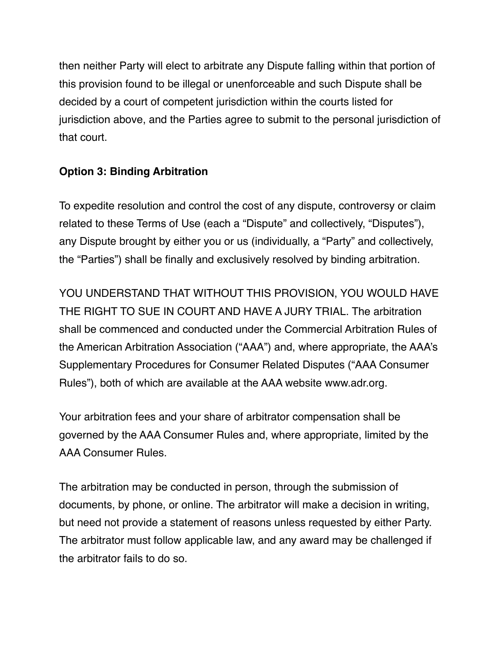then neither Party will elect to arbitrate any Dispute falling within that portion of this provision found to be illegal or unenforceable and such Dispute shall be decided by a court of competent jurisdiction within the courts listed for jurisdiction above, and the Parties agree to submit to the personal jurisdiction of that court.

## **Option 3: Binding Arbitration**

To expedite resolution and control the cost of any dispute, controversy or claim related to these Terms of Use (each a "Dispute" and collectively, "Disputes"), any Dispute brought by either you or us (individually, a "Party" and collectively, the "Parties") shall be finally and exclusively resolved by binding arbitration.

YOU UNDERSTAND THAT WITHOUT THIS PROVISION, YOU WOULD HAVE THE RIGHT TO SUE IN COURT AND HAVE A JURY TRIAL. The arbitration shall be commenced and conducted under the Commercial Arbitration Rules of the American Arbitration Association ("AAA") and, where appropriate, the AAA's Supplementary Procedures for Consumer Related Disputes ("AAA Consumer Rules"), both of which are available at the AAA website [www.adr.org](https://www.adr.org/).

Your arbitration fees and your share of arbitrator compensation shall be governed by the AAA Consumer Rules and, where appropriate, limited by the AAA Consumer Rules.

The arbitration may be conducted in person, through the submission of documents, by phone, or online. The arbitrator will make a decision in writing, but need not provide a statement of reasons unless requested by either Party. The arbitrator must follow applicable law, and any award may be challenged if the arbitrator fails to do so.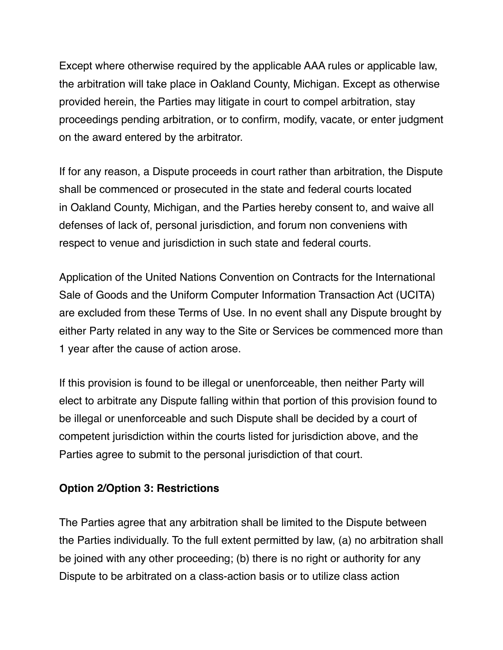Except where otherwise required by the applicable AAA rules or applicable law, the arbitration will take place in Oakland County, Michigan. Except as otherwise provided herein, the Parties may litigate in court to compel arbitration, stay proceedings pending arbitration, or to confirm, modify, vacate, or enter judgment on the award entered by the arbitrator.

If for any reason, a Dispute proceeds in court rather than arbitration, the Dispute shall be commenced or prosecuted in the state and federal courts located in Oakland County, Michigan, and the Parties hereby consent to, and waive all defenses of lack of, personal jurisdiction, and forum non conveniens with respect to venue and jurisdiction in such state and federal courts.

Application of the United Nations Convention on Contracts for the International Sale of Goods and the Uniform Computer Information Transaction Act (UCITA) are excluded from these Terms of Use. In no event shall any Dispute brought by either Party related in any way to the Site or Services be commenced more than 1 year after the cause of action arose.

If this provision is found to be illegal or unenforceable, then neither Party will elect to arbitrate any Dispute falling within that portion of this provision found to be illegal or unenforceable and such Dispute shall be decided by a court of competent jurisdiction within the courts listed for jurisdiction above, and the Parties agree to submit to the personal jurisdiction of that court.

### **Option 2/Option 3: Restrictions**

The Parties agree that any arbitration shall be limited to the Dispute between the Parties individually. To the full extent permitted by law, (a) no arbitration shall be joined with any other proceeding; (b) there is no right or authority for any Dispute to be arbitrated on a class-action basis or to utilize class action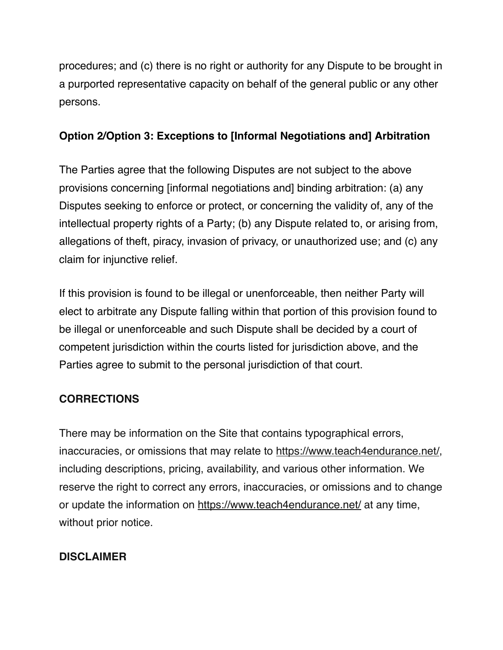procedures; and (c) there is no right or authority for any Dispute to be brought in a purported representative capacity on behalf of the general public or any other persons.

# **Option 2/Option 3: Exceptions to [Informal Negotiations and] Arbitration**

The Parties agree that the following Disputes are not subject to the above provisions concerning [informal negotiations and] binding arbitration: (a) any Disputes seeking to enforce or protect, or concerning the validity of, any of the intellectual property rights of a Party; (b) any Dispute related to, or arising from, allegations of theft, piracy, invasion of privacy, or unauthorized use; and (c) any claim for injunctive relief.

If this provision is found to be illegal or unenforceable, then neither Party will elect to arbitrate any Dispute falling within that portion of this provision found to be illegal or unenforceable and such Dispute shall be decided by a court of competent jurisdiction within the courts listed for jurisdiction above, and the Parties agree to submit to the personal jurisdiction of that court.

# **CORRECTIONS**

There may be information on the Site that contains typographical errors, inaccuracies, or omissions that may relate to [https://www.teach4endurance.net/,](https://www.teach4endurance.net/) including descriptions, pricing, availability, and various other information. We reserve the right to correct any errors, inaccuracies, or omissions and to change or update the information on <https://www.teach4endurance.net/>at any time, without prior notice.

# **DISCLAIMER**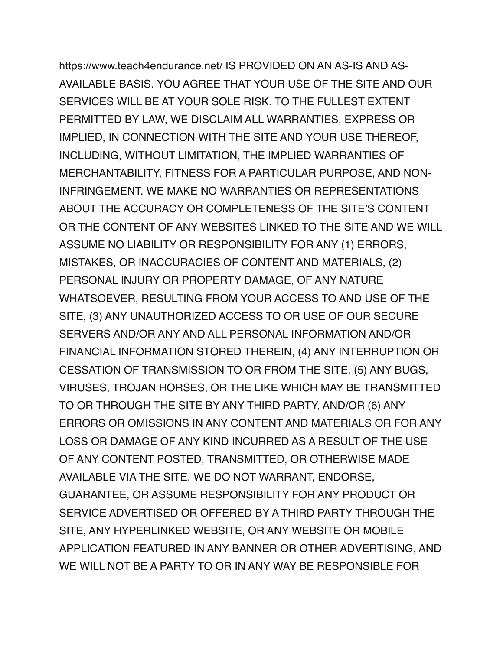<https://www.teach4endurance.net/>IS PROVIDED ON AN AS-IS AND AS-AVAILABLE BASIS. YOU AGREE THAT YOUR USE OF THE SITE AND OUR SERVICES WILL BE AT YOUR SOLE RISK. TO THE FULLEST EXTENT PERMITTED BY LAW, WE DISCLAIM ALL WARRANTIES, EXPRESS OR IMPLIED, IN CONNECTION WITH THE SITE AND YOUR USE THEREOF, INCLUDING, WITHOUT LIMITATION, THE IMPLIED WARRANTIES OF MERCHANTABILITY, FITNESS FOR A PARTICULAR PURPOSE, AND NON-INFRINGEMENT. WE MAKE NO WARRANTIES OR REPRESENTATIONS ABOUT THE ACCURACY OR COMPLETENESS OF THE SITE'S CONTENT OR THE CONTENT OF ANY WEBSITES LINKED TO THE SITE AND WE WILL ASSUME NO LIABILITY OR RESPONSIBILITY FOR ANY (1) ERRORS, MISTAKES, OR INACCURACIES OF CONTENT AND MATERIALS, (2) PERSONAL INJURY OR PROPERTY DAMAGE, OF ANY NATURE WHATSOEVER, RESULTING FROM YOUR ACCESS TO AND USE OF THE SITE, (3) ANY UNAUTHORIZED ACCESS TO OR USE OF OUR SECURE SERVERS AND/OR ANY AND ALL PERSONAL INFORMATION AND/OR FINANCIAL INFORMATION STORED THEREIN, (4) ANY INTERRUPTION OR CESSATION OF TRANSMISSION TO OR FROM THE SITE, (5) ANY BUGS, VIRUSES, TROJAN HORSES, OR THE LIKE WHICH MAY BE TRANSMITTED TO OR THROUGH THE SITE BY ANY THIRD PARTY, AND/OR (6) ANY ERRORS OR OMISSIONS IN ANY CONTENT AND MATERIALS OR FOR ANY LOSS OR DAMAGE OF ANY KIND INCURRED AS A RESULT OF THE USE OF ANY CONTENT POSTED, TRANSMITTED, OR OTHERWISE MADE AVAILABLE VIA THE SITE. WE DO NOT WARRANT, ENDORSE, GUARANTEE, OR ASSUME RESPONSIBILITY FOR ANY PRODUCT OR SERVICE ADVERTISED OR OFFERED BY A THIRD PARTY THROUGH THE SITE, ANY HYPERLINKED WEBSITE, OR ANY WEBSITE OR MOBILE APPLICATION FEATURED IN ANY BANNER OR OTHER ADVERTISING, AND WE WILL NOT BE A PARTY TO OR IN ANY WAY BE RESPONSIBLE FOR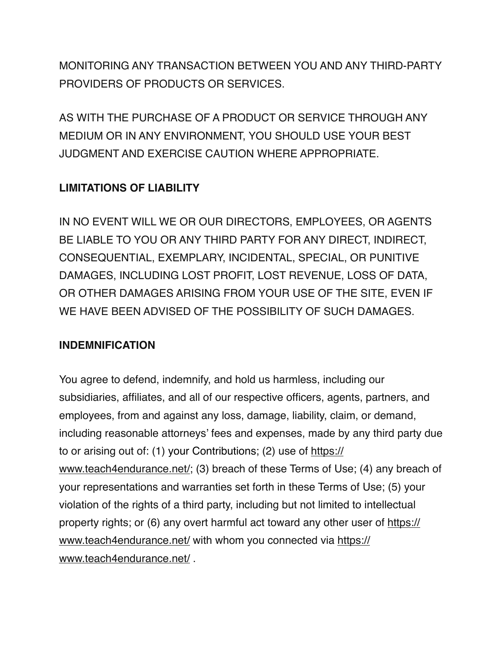MONITORING ANY TRANSACTION BETWEEN YOU AND ANY THIRD-PARTY PROVIDERS OF PRODUCTS OR SERVICES.

AS WITH THE PURCHASE OF A PRODUCT OR SERVICE THROUGH ANY MEDIUM OR IN ANY ENVIRONMENT, YOU SHOULD USE YOUR BEST JUDGMENT AND EXERCISE CAUTION WHERE APPROPRIATE.

# **LIMITATIONS OF LIABILITY**

IN NO EVENT WILL WE OR OUR DIRECTORS, EMPLOYEES, OR AGENTS BE LIABLE TO YOU OR ANY THIRD PARTY FOR ANY DIRECT, INDIRECT, CONSEQUENTIAL, EXEMPLARY, INCIDENTAL, SPECIAL, OR PUNITIVE DAMAGES, INCLUDING LOST PROFIT, LOST REVENUE, LOSS OF DATA, OR OTHER DAMAGES ARISING FROM YOUR USE OF THE SITE, EVEN IF WE HAVE BEEN ADVISED OF THE POSSIBILITY OF SUCH DAMAGES.

# **INDEMNIFICATION**

You agree to defend, indemnify, and hold us harmless, including our subsidiaries, affiliates, and all of our respective officers, agents, partners, and employees, from and against any loss, damage, liability, claim, or demand, including reasonable attorneys' fees and expenses, made by any third party due to or arising out of: (1) your Contributions; (2) use of [https://](https://www.teach4endurance.net/) [www.teach4endurance.net/](https://www.teach4endurance.net/); (3) breach of these Terms of Use; (4) any breach of your representations and warranties set forth in these Terms of Use; (5) your violation of the rights of a third party, including but not limited to intellectual property rights; or (6) any overt harmful act toward any other user of [https://](https://www.teach4endurance.net/) [www.teach4endurance.net/](https://www.teach4endurance.net/) with whom you connected via [https://](https://www.teach4endurance.net/) [www.teach4endurance.net/](https://www.teach4endurance.net/) .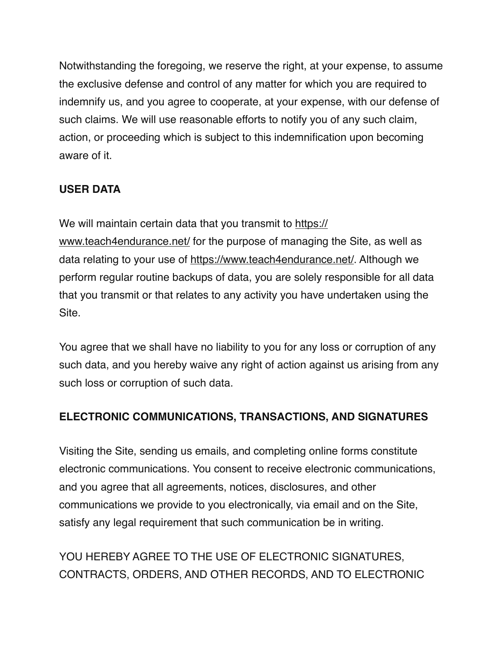Notwithstanding the foregoing, we reserve the right, at your expense, to assume the exclusive defense and control of any matter for which you are required to indemnify us, and you agree to cooperate, at your expense, with our defense of such claims. We will use reasonable efforts to notify you of any such claim, action, or proceeding which is subject to this indemnification upon becoming aware of it.

# **USER DATA**

We will maintain certain data that you transmit to [https://](https://www.teach4endurance.net/) [www.teach4endurance.net/](https://www.teach4endurance.net/) for the purpose of managing the Site, as well as data relating to your use of [https://www.teach4endurance.net/.](https://www.teach4endurance.net/) Although we perform regular routine backups of data, you are solely responsible for all data that you transmit or that relates to any activity you have undertaken using the Site.

You agree that we shall have no liability to you for any loss or corruption of any such data, and you hereby waive any right of action against us arising from any such loss or corruption of such data.

# **ELECTRONIC COMMUNICATIONS, TRANSACTIONS, AND SIGNATURES**

Visiting the Site, sending us emails, and completing online forms constitute electronic communications. You consent to receive electronic communications, and you agree that all agreements, notices, disclosures, and other communications we provide to you electronically, via email and on the Site, satisfy any legal requirement that such communication be in writing.

YOU HEREBY AGREE TO THE USE OF ELECTRONIC SIGNATURES, CONTRACTS, ORDERS, AND OTHER RECORDS, AND TO ELECTRONIC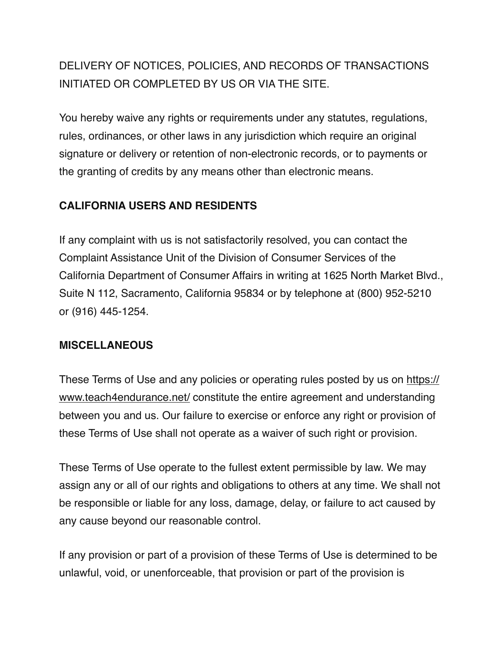# DELIVERY OF NOTICES, POLICIES, AND RECORDS OF TRANSACTIONS INITIATED OR COMPLETED BY US OR VIA THE SITE.

You hereby waive any rights or requirements under any statutes, regulations, rules, ordinances, or other laws in any jurisdiction which require an original signature or delivery or retention of non-electronic records, or to payments or the granting of credits by any means other than electronic means.

### **CALIFORNIA USERS AND RESIDENTS**

If any complaint with us is not satisfactorily resolved, you can contact the Complaint Assistance Unit of the Division of Consumer Services of the California Department of Consumer Affairs in writing at 1625 North Market Blvd., Suite N 112, Sacramento, California 95834 or by telephone at (800) 952-5210 or (916) 445-1254.

#### **MISCELLANEOUS**

These Terms of Use and any policies or operating rules posted by us on [https://](https://www.teach4endurance.net/) [www.teach4endurance.net/](https://www.teach4endurance.net/) constitute the entire agreement and understanding between you and us. Our failure to exercise or enforce any right or provision of these Terms of Use shall not operate as a waiver of such right or provision.

These Terms of Use operate to the fullest extent permissible by law. We may assign any or all of our rights and obligations to others at any time. We shall not be responsible or liable for any loss, damage, delay, or failure to act caused by any cause beyond our reasonable control.

If any provision or part of a provision of these Terms of Use is determined to be unlawful, void, or unenforceable, that provision or part of the provision is